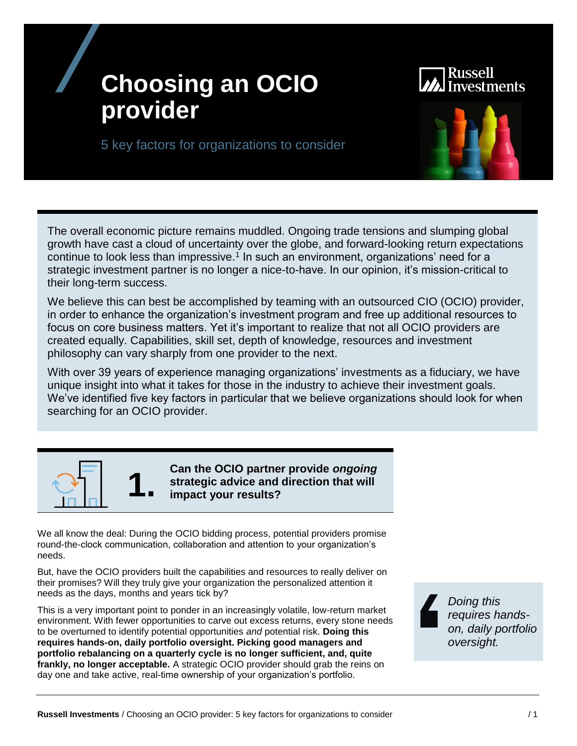# **Choosing an OCIO provider**

# stments

5 key factors for organizations to consider



The overall economic picture remains muddled. Ongoing trade tensions and slumping global growth have cast a cloud of uncertainty over the globe, and forward-looking return expectations continue to look less than impressive.<sup>1</sup> In such an environment, organizations' need for a strategic investment partner is no longer a nice-to-have. In our opinion, it's mission-critical to their long-term success.

We believe this can best be accomplished by teaming with an outsourced CIO (OCIO) provider, in order to enhance the organization's investment program and free up additional resources to focus on core business matters. Yet it's important to realize that not all OCIO providers are created equally. Capabilities, skill set, depth of knowledge, resources and investment philosophy can vary sharply from one provider to the next.

With over 39 years of experience managing organizations' investments as a fiduciary, we have unique insight into what it takes for those in the industry to achieve their investment goals. We've identified five key factors in particular that we believe organizations should look for when searching for an OCIO provider.



**1.** Can the OCIO partner provide *ongoing*<br>strategic advice and direction that will<br>impact your results? **strategic advice and direction that will impact your results?**

We all know the deal: During the OCIO bidding process, potential providers promise round-the-clock communication, collaboration and attention to your organization's needs.

But, have the OCIO providers built the capabilities and resources to really deliver on their promises? Will they truly give your organization the personalized attention it needs as the days, months and years tick by?

This is a very important point to ponder in an increasingly volatile, low-return market environment. With fewer opportunities to carve out excess returns, every stone needs to be overturned to identify potential opportunities *and* potential risk. **Doing this requires hands-on, daily portfolio oversight. Picking good managers and portfolio rebalancing on a quarterly cycle is no longer sufficient, and, quite frankly, no longer acceptable.** A strategic OCIO provider should grab the reins on day one and take active, real-time ownership of your organization's portfolio.

*Doing this requires handson, daily portfolio oversight.*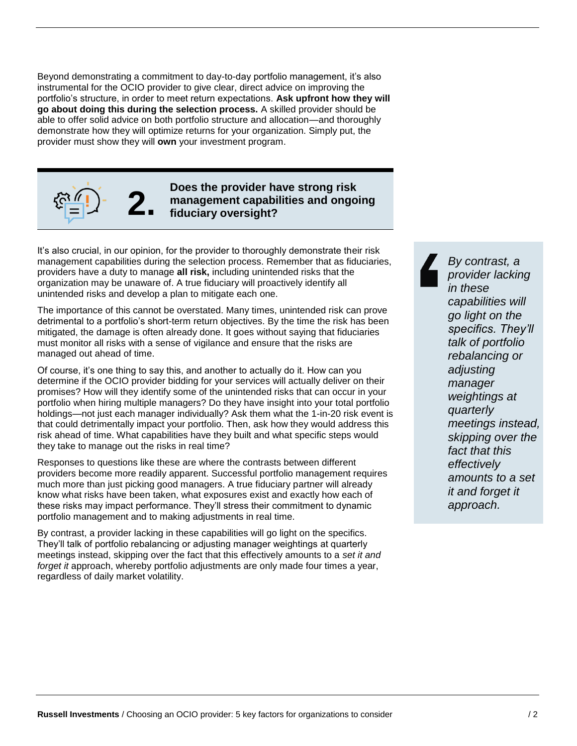Beyond demonstrating a commitment to day-to-day portfolio management, it's also instrumental for the OCIO provider to give clear, direct advice on improving the portfolio's structure, in order to meet return expectations. **Ask upfront how they will go about doing this during the selection process.** A skilled provider should be able to offer solid advice on both portfolio structure and allocation—and thoroughly demonstrate how they will optimize returns for your organization. Simply put, the provider must show they will **own** your investment program.



**2. Does the provider have strong risk management capabilities and ongoing fiduciary oversight?**

It's also crucial, in our opinion, for the provider to thoroughly demonstrate their risk management capabilities during the selection process. Remember that as fiduciaries, providers have a duty to manage **all risk,** including unintended risks that the organization may be unaware of. A true fiduciary will proactively identify all unintended risks and develop a plan to mitigate each one.

The importance of this cannot be overstated. Many times, unintended risk can prove detrimental to a portfolio's short-term return objectives. By the time the risk has been mitigated, the damage is often already done. It goes without saying that fiduciaries must monitor all risks with a sense of vigilance and ensure that the risks are managed out ahead of time.

Of course, it's one thing to say this, and another to actually do it. How can you determine if the OCIO provider bidding for your services will actually deliver on their promises? How will they identify some of the unintended risks that can occur in your portfolio when hiring multiple managers? Do they have insight into your total portfolio holdings—not just each manager individually? Ask them what the 1-in-20 risk event is that could detrimentally impact your portfolio. Then, ask how they would address this risk ahead of time. What capabilities have they built and what specific steps would they take to manage out the risks in real time?

Responses to questions like these are where the contrasts between different providers become more readily apparent. Successful portfolio management requires much more than just picking good managers. A true fiduciary partner will already know what risks have been taken, what exposures exist and exactly how each of these risks may impact performance. They'll stress their commitment to dynamic portfolio management and to making adjustments in real time.

By contrast, a provider lacking in these capabilities will go light on the specifics. They'll talk of portfolio rebalancing or adjusting manager weightings at quarterly meetings instead, skipping over the fact that this effectively amounts to a *set it and forget it* approach, whereby portfolio adjustments are only made four times a year, regardless of daily market volatility.

*By contrast, a provider lacking in these capabilities will go light on the specifics. They'll talk of portfolio rebalancing or adjusting manager weightings at quarterly meetings instead, skipping over the fact that this effectively amounts to a set it and forget it approach.*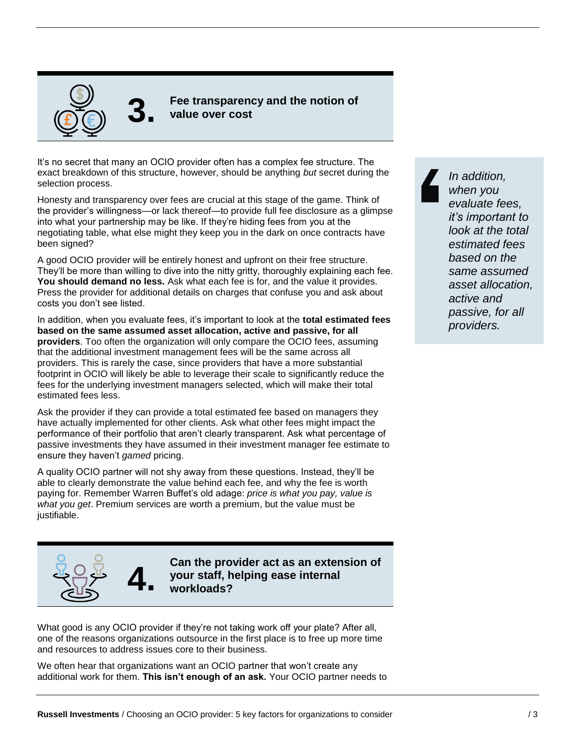

**3. Fee transparency and the notion of value over cost**

It's no secret that many an OCIO provider often has a complex fee structure. The exact breakdown of this structure, however, should be anything *but* secret during the selection process.

Honesty and transparency over fees are crucial at this stage of the game. Think of the provider's willingness—or lack thereof—to provide full fee disclosure as a glimpse into what your partnership may be like. If they're hiding fees from you at the negotiating table, what else might they keep you in the dark on once contracts have been signed?

A good OCIO provider will be entirely honest and upfront on their free structure. They'll be more than willing to dive into the nitty gritty, thoroughly explaining each fee. **You should demand no less.** Ask what each fee is for, and the value it provides. Press the provider for additional details on charges that confuse you and ask about costs you don't see listed.

In addition, when you evaluate fees, it's important to look at the **total estimated fees based on the same assumed asset allocation, active and passive, for all providers**. Too often the organization will only compare the OCIO fees, assuming that the additional investment management fees will be the same across all providers. This is rarely the case, since providers that have a more substantial footprint in OCIO will likely be able to leverage their scale to significantly reduce the fees for the underlying investment managers selected, which will make their total estimated fees less.

Ask the provider if they can provide a total estimated fee based on managers they have actually implemented for other clients. Ask what other fees might impact the performance of their portfolio that aren't clearly transparent. Ask what percentage of passive investments they have assumed in their investment manager fee estimate to ensure they haven't *gamed* pricing.

A quality OCIO partner will not shy away from these questions. Instead, they'll be able to clearly demonstrate the value behind each fee, and why the fee is worth paying for. Remember Warren Buffet's old adage: *price is what you pay, value is what you get*. Premium services are worth a premium, but the value must be justifiable.



**4. Can the provider act as an extension of your staff, helping ease internal workloads?**

What good is any OCIO provider if they're not taking work off your plate? After all, one of the reasons organizations outsource in the first place is to free up more time and resources to address issues core to their business.

We often hear that organizations want an OCIO partner that won't create any additional work for them. **This isn't enough of an ask.** Your OCIO partner needs to

*In addition, when you evaluate fees, it's important to look at the total estimated fees based on the same assumed asset allocation, active and passive, for all providers.*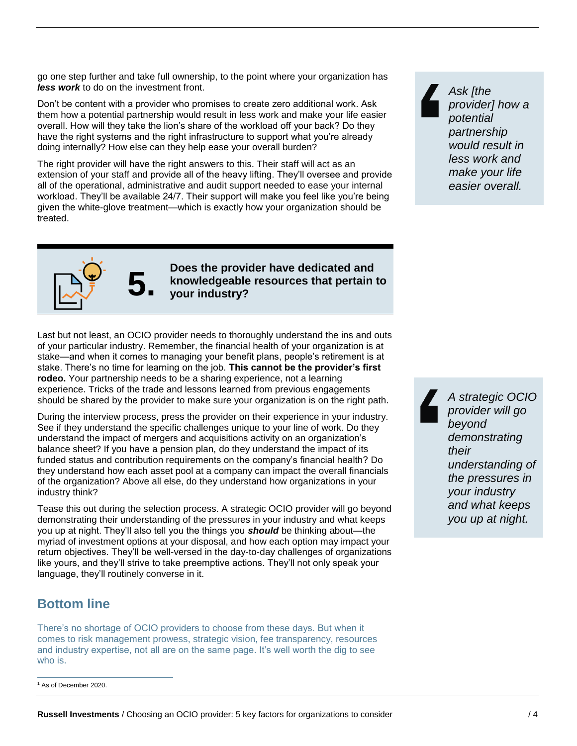go one step further and take full ownership, to the point where your organization has *less work* to do on the investment front.

Don't be content with a provider who promises to create zero additional work. Ask them how a potential partnership would result in less work and make your life easier overall. How will they take the lion's share of the workload off your back? Do they have the right systems and the right infrastructure to support what you're already doing internally? How else can they help ease your overall burden?

The right provider will have the right answers to this. Their staff will act as an extension of your staff and provide all of the heavy lifting. They'll oversee and provide all of the operational, administrative and audit support needed to ease your internal workload. They'll be available 24/7. Their support will make you feel like you're being given the white-glove treatment—which is exactly how your organization should be treated.

*Ask [the provider] how a potential partnership would result in less work and make your life easier overall.*



**5.** Does the provider have dedicated and<br>**5.** your industry? **knowledgeable resources that pertain to your industry?**

Last but not least, an OCIO provider needs to thoroughly understand the ins and outs of your particular industry. Remember, the financial health of your organization is at stake—and when it comes to managing your benefit plans, people's retirement is at stake. There's no time for learning on the job. **This cannot be the provider's first rodeo.** Your partnership needs to be a sharing experience, not a learning experience. Tricks of the trade and lessons learned from previous engagements should be shared by the provider to make sure your organization is on the right path.

During the interview process, press the provider on their experience in your industry. See if they understand the specific challenges unique to your line of work. Do they understand the impact of mergers and acquisitions activity on an organization's balance sheet? If you have a pension plan, do they understand the impact of its funded status and contribution requirements on the company's financial health? Do they understand how each asset pool at a company can impact the overall financials of the organization? Above all else, do they understand how organizations in your industry think?

Tease this out during the selection process. A strategic OCIO provider will go beyond demonstrating their understanding of the pressures in your industry and what keeps you up at night. They'll also tell you the things you *should* be thinking about—the myriad of investment options at your disposal, and how each option may impact your return objectives. They'll be well-versed in the day-to-day challenges of organizations like yours, and they'll strive to take preemptive actions. They'll not only speak your language, they'll routinely converse in it.

#### **Bottom line**

There's no shortage of OCIO providers to choose from these days. But when it comes to risk management prowess, strategic vision, fee transparency, resources and industry expertise, not all are on the same page. It's well worth the dig to see who is.

<sup>1</sup> As of December 2020.  $\overline{a}$ 

*A strategic OCIO provider will go beyond demonstrating their understanding of the pressures in your industry and what keeps you up at night.*